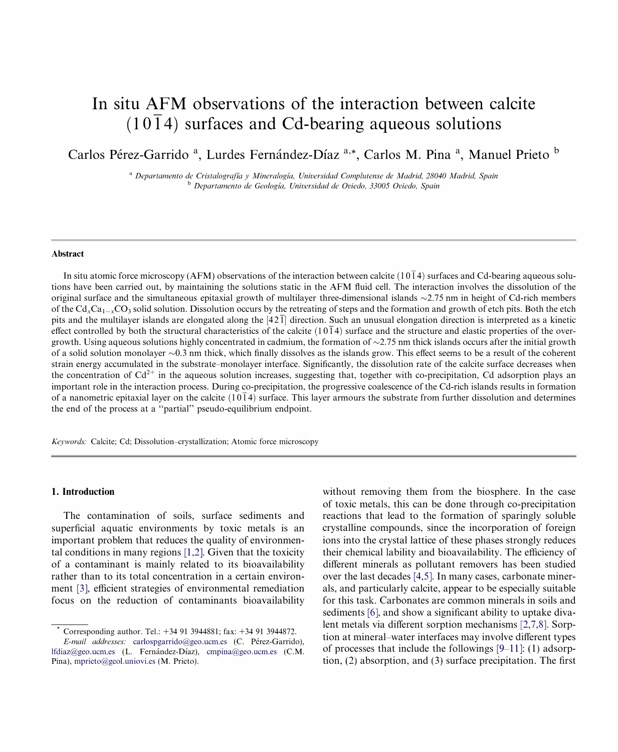# In situ AFM observations of the interaction between calcite  $(10\overline{1}4)$  surfaces and Cd-bearing aqueous solutions

Carlos Pérez-Garrido<sup>a</sup>, Lurdes Fernández-Díaz<sup>a,\*</sup>, Carlos M. Pina<sup>a</sup>, Manuel Prieto<sup>b</sup>

<sup>a</sup> Departamento de Cristalografía y Mineralogía, Universidad Complutense de Madrid, 28040 Madrid, Spain <sup>b</sup> Departamento de Geología, Universidad de Oviedo, 33005 Oviedo, Spain

# Abstract

In situ atomic force microscopy (AFM) observations of the interaction between calcite (10 $\overline{1}4$ ) surfaces and Cd-bearing aqueous solutions have been carried out, by maintaining the solutions static in the AFM fluid celL The interaction involves the dissolution of the original surface and the simultaneous epitaxial growth of multilayer three-dimensional islands  $\sim$ 2.75 nm in height of Cd-rich members of the Cd<sub>x</sub>Ca<sub>1-x</sub>CO<sub>3</sub> solid solution. Dissolution occurs by the retreating of steps and the formation and growth of etch pits. Both the etch pits and the multilayer islands are elongated along the  $[42\bar{1}]$  direction. Such an unusual elongation direction is interpreted as a kinetic effect controlled by both the structural characteristics of the calcite ( $10\bar{1}4$ ) surface and the structure and elastic properties of the overgrowth. Using aqueous solutions highly concentrated in cadmium, the formation of  $\sim$ 2.75 nm thick islands occurs after the initial growth of a solid solution monolayer  $\sim 0.3$  nm thick, which finally dissolves as the islands grow. This effect seems to be a result of the coherent strain energy accumulated in the substrate-monolayer interface. Significantly, the dissolution rate of the calcite surface decreases when the concentration of  $Cd^{2+}$  in the aqueous solution increases, suggesting that, together with co-precipitation, Cd adsorption plays an important role in the interaction process. During co-precipitation, the progressive coalescence of the Cd-rich islands results in formation of a nanometric epitaxial layer on the calcite (10 $\overline{1}4$ ) surface. This layer armours the substrate from further dissolution and determines the end of the process at a "partial" pseudo-equilibrium endpoint.

Keywords': Calcite; Cd; Dissolution-crystallization; Atomic force microscopy

#### 1. Introduction

The contamination of soils, surface sediments and superficial aquatic environments by toxic metals is an important problem that reduces the quality of environmental conditions in many regions [1,2]. Given that the toxicity of a contaminant is mainly related to its bioavailability rather than to its total concentration in a certain environment [3J, efficient strategies of environmental remediation focus on the reduction of contaminants bioavailability without removing them from the biosphere. In the case of toxic metals, this can be done through co-precipitation reactions that lead to the formation of sparingly soluble crystalline compounds, since the incorporation of foreign ions into the crystal lattice of these phases strongly reduces their chemical lability and bioavailability. The efficiency of different minerals as pollutant removers has been studied over the last decades [4,5]. In many cases, carbonate minerals, and particularly calcite, appear to be especially suitable for this task. Carbonates are common minerals in soils and sediments [6], and show a significant ability to uptake divalent metals via different sorption mechanisms [2,7,8]. Sorption at mineral-water interfaces may involve different types of processes that include the followings  $[9-11]$ : (1) adsorption, (2) absorption, and (3) surface precipitation. The first

Corresponding author. Tel.: +34 91 3944881; fax: +34 91 3944872.

E-mail addresses: carlospgarrido@geo.ucm.es (C. Pérez-Garrido), Ifdiaz@geo.ucm.es (L. Fernández-Díaz), cmpina@geo.ucm.es (C.M. Pina), mprieto@geol.uniovi.es (M. Prieto).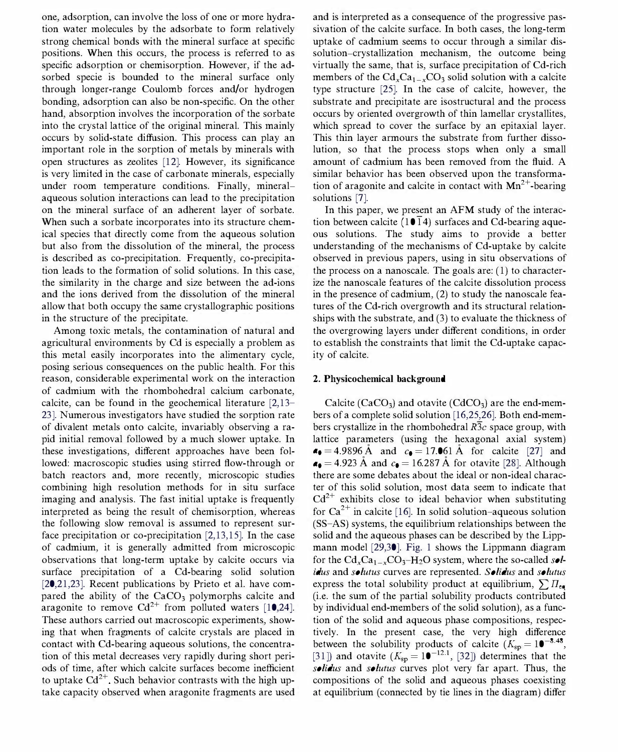one, adsorption, can involve the loss of one or more hydration water molecules by the adsorbate to form relatively strong chemical bonds with the mineral surface at specific positions. When this occurs, the process is referred to as specific adsorption or chemisorption. However, if the adsorbed specie is bounded to the mineral surface only through longer-range Coulomb forces and/or hydrogen bonding, adsorption can also be non-specific. On the other hand, absorption involves the incorporation of the sorbate into the crystal lattice of the original mineral. This mainly occurs by solid-state diffusion. This process can play an important role in the sorption of metals by minerals with open structures as zeolites [12]. However, its significance is very limited in the case of carbonate minerals, especially under room temperature conditions. Finally, mineralaqueous solution interactions can lead to the precipitation on the mineral surface of an adherent layer of sorbate. When such a sorbate incorporates into its structure chemical species that directly come from the aqueous solution but also from the dissolution of the mineral, the process is described as co-precipitation. Frequently, co-precipitation leads to the formation of solid solutions. In this case, the similarity in the charge and size between the ad-ions and the ions derived from the dissolution of the mineral allow that both occupy the same crystallographic positions in the structure of the precipitate.

Among toxic metals, the contamination of natural and agricultural environments by Cd is especially a problem as this metal easily incorporates into the alimentary cycle, posing serious consequences on the public health. For this reason, considerable experimental work on the interaction of cadmium with the rhombohedral calcium carbonate, calcite, can be found in the geochemical literature [2,13- 23]. Numerous investigators have studied the sorption rate of divalent metals onto calcite, invariably observing a rapid initial removal followed by a much slower uptake. In these investigations, different approaches have been followed: macroscopic studies using stirred flow-through or batch reactors and, more recently, microscopic studies combining high resolution methods for in situ surface imaging and analysis. The fast initial uptake is frequently interpreted as being the result of chemisorption, whereas the following slow removal is assumed to represent surface precipitation or co-precipitation [2,13,15]. In the case of cadmium, it is generally admitted from microscopic observations that long-term uptake by calcite occurs via surface precipitation of a Cd-bearing solid solution [20,21,23]. Recent publications by Prieto et al. have compared the ability of the CaCO<sub>3</sub> polymorphs calcite and aragonite to remove  $Cd^{2+}$  from polluted waters [10,24]. These authors carried out macroscopic experiments, showing that when fragments of calcite crystals are placed in contact with Cd-bearing aqueous solutions, the concentration of this metal decreases very rapidly during short periods of time, after which calcite surfaces become inefficient to uptake  $Cd^{2+}$ . Such behavior contrasts with the high uptake capacity observed when aragonite fragments are used and is interpreted as a consequence of the progressive passivation of the calcite surface. In both cases, the long-term uptake of cadmium seems to occur through a similar dissolution-crystallization mechanism, the outcome being virtually the same, that is, surface precipitation of Cd-rich members of the  $Cd<sub>x</sub>Ca<sub>1-x</sub>CO<sub>3</sub>$  solid solution with a calcite type structure [25]. In the case of calcite, however, the substrate and precipitate are isostructural and the process occurs by oriented overgrowth of thin lamellar crystallites, which spread to cover the surface by an epitaxial layer. This thin layer armours the substrate from further dissolution, so that the process stops when only a small amount of cadmium has been removed from the fluid. A similar behavior has been observed upon the transformation of aragonite and calcite in contact with  $Mn^{2+}$ -bearing solutions [7].

In this paper, we present an AFM study of the interaction between calcite (1014) surfaces and Cd-bearing aqueous solutions. The study aims to provide a better understanding of the mechanisms of Cd-uptake by calcite observed in previous papers, using in situ observations of the process on a nanoscale. The goals are: (1) to characterize the nanoscale features of the calcite dissolution process in the presence of cadmium, (2) to study the nanoscale features of the Cd-rich overgrowth and its structural relationships with the substrate, and (3) to evaluate the thickness of the overgrowing layers under different conditions, in order to establish the constraints that limit the Cd-uptake capacity of calcite.

#### 2. Physicochemical background

Calcite (CaCO<sub>3</sub>) and otavite (CdCO<sub>3</sub>) are the end-members of a complete solid solution [16,25,26]. Both end-members crystallize in the rhombohedral  $R\overline{3}c$  space group, with lattice parameters (using the hexagonal axial system)  $a_0 = 4.9896 \text{ A}$  and  $c_0 = 17.061 \text{ A}$  for calcite [27] and  $a_0 = 4.923$  Å and  $c_0 = 16.287$  Å for otavite [28]. Although there are some debates about the ideal or non-ideal character of this solid solution, most data seem to indicate that  $Cd^{2+}$  exhibits close to ideal behavior when substituting for  $Ca^{2+}$  in calcite [16]. In solid solution-aqueous solution (SS-AS) systems, the equilibrium relationships between the solid and the aqueous phases can be described by the Lippmann model [29,30]. Fig. 1 shows the Lippmann diagram for the  $Cd_xCa_{1-x}CO_3-H_2O$  system, where the so-called solidus and solutus curves are represented. Solidus and solutus express the total solubility product at equilibrium,  $\sum \prod_{\mathbf{c}\in\mathbf{C}}$ (i.e. the sum of the partial solubility products contributed by individual end-members of the solid solution), as a function of the solid and aqueous phase compositions, respectively. In the present case, the very high difference between the solubility products of calcite ( $K_{sp} = 10^{-8.48}$ , [31]) and otavite  $(K_{\text{sp}} = 10^{-12.1}$ , [32]) determines that the solidus and solutus curves plot very far apart. Thus, the compositions of the solid and aqueous phases coexisting at equilibrium (connected by tie lines in the diagram) differ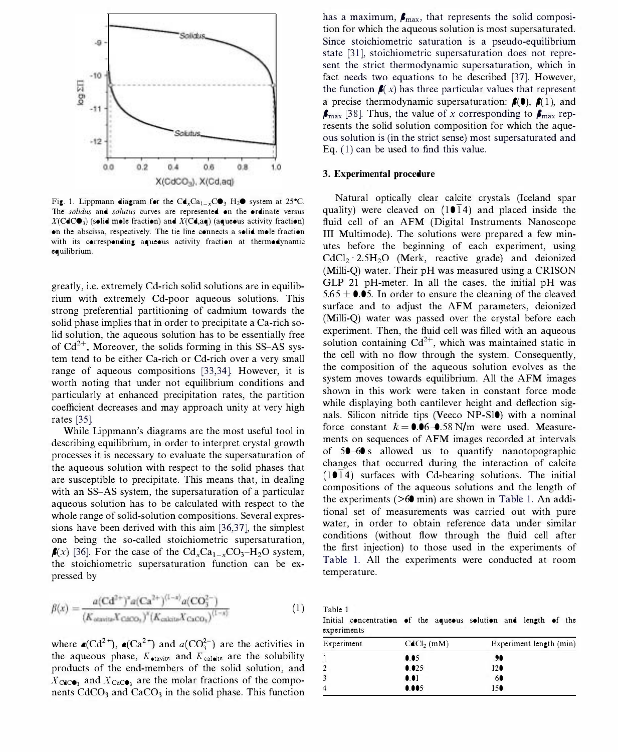

Fig. 1. Lippmann diagram for the  $Cd_xCa_{1-x}C\Phi_3$  H<sub>2</sub> $\bullet$  system at 25<sup> $\bullet$ </sup>C. The solidus and solutus curves are represented on the ordinate versus  $X(CdC\bullet_3)$  (solid mole fraction) and  $X(Cd,aq)$  (aqueous activity fraction) on the abscissa, respectively. The tie line connects a solid mole fraction with its corresponding aqueous activity fraction at thermodynamic equilibrium.

greatly, i.e. extremely Cd-rich solid solutions are in equilibrium with extremely Cd-poor aqueous solutions. This strong preferential partitioning of cadmium towards the solid phase implies that in order to precipitate a Ca-rich solid solution, the aqueous solution has to be essentially free of  $Cd^{2+}$ . Moreover, the solids forming in this SS-AS system tend to be either Ca-rich or Cd-rich over a very small range of aqueous compositions [33,34]. However, it is worth noting that under not equilibrium conditions and particularly at enhanced precipitation rates, the partition coefficient decreases and may approach unity at very high rates [35].

While Lippmann's diagrams are the most useful tool in describing equilibrium, in order to interpret crystal growth processes it is necessary to evaluate the supersaturation of the aqueous solution with respect to the solid phases that are susceptible to precipitate. This means that, in dealing with an SS-AS system, the supersaturation of a particular aqueous solution has to be calculated with respect to the whole range of solid-solution compositions. Several expressions have been derived with this aim [36,37], the simplest one being the so-called stoichiometric supersaturation,  $f(x)$  [36]. For the case of the Cd<sub>x</sub>Ca<sub>1-x</sub>CO<sub>3</sub>-H<sub>2</sub>O system, the stoichiometric supersaturation function can be expressed by

$$
\beta(x) = \frac{a(\mathbf{C}d^{2+})^x a(\mathbf{C}a^{2+})^{(1-x)} a(\mathbf{C}O_3^{-})}{(K_{\text{partial}}K_{\text{circ}}K_{\text{circ}}K_{\text{partial}}K_{\text{cos}}C_{\text{cos}})^{t(1-x)}}
$$
(1)

where  $a(Cd^2)$ ,  $a(Ca^2)$  and  $a(CO_3^{2-})$  are the activities in the aqueous phase,  $K_{\text{e}}$  and  $K_{\text{calite}}$  are the solubility products of the end-members of the solid solution, and  $X_{\text{CAC}\bullet}$  and  $X_{\text{CaC}\bullet}$  are the molar fractions of the components  $CdCO<sub>3</sub>$  and  $CaCO<sub>3</sub>$  in the solid phase. This function has a maximum,  $\beta_{\text{max}}$ , that represents the solid composition for which the aqueous solution is most supersaturated. Since stoichiometric saturation is a pseudo-equilibrium state [31], stoichiometric supersaturation does not represent the strict thermodynamic supersaturation, which in fact needs two equations to be described [37]. However, the function  $\mathbf{S}(x)$  has three particular values that represent a precise thermodynamic supersaturation:  $\mathbf{S}(0)$ ,  $\mathbf{S}(1)$ , and  $\beta_{\text{max}}$  [38]. Thus, the value of x corresponding to  $\beta_{\text{max}}$  represents the solid solution composition for which the aqueous solution is (in the strict sense) most supersaturated and Eq. (1) can be used to find this value.

# 3. Experimental procedure

Natural optically clear calcite crystals (Iceland spar quality) were cleaved on  $(1\bullet\bar{1}4)$  and placed inside the fluid cell of an AFM (Digital Instruments Nanoscope III Multimode). The solutions were prepared a few minutes before the beginning of each experiment, using  $CdCl<sub>2</sub> \cdot 2.5H<sub>2</sub>O$  (Merk, reactive grade) and deionized  $(Milli-Q)$  water. Their pH was measured using a CRISON GLP 21 pH-meter. In all the cases, the initial pH was 5.65  $\pm$  0.05. In order to ensure the cleaning of the cleaved surface and to adjust the AFM parameters, deionized (Milli-Q) water was passed over the crystal before each experiment. Then, the fluid cell was filled with an aqueous solution containing  $Cd^{2+}$ , which was maintained static in the cell with no flow through the system. Consequently, the composition of the aqueous solution evolves as the system moves towards equilibrium. All the AFM images shown in this work were taken in constant force mode while displaying both cantilever height and deflection signals. Silicon nitride tips (Veeco NP-Sl0) with a nominal force constant  $k = 0.06 - 0.58$  N/m were used. Measurements on sequences of AFM images recorded at intervals of  $50-60$  s allowed us to quantify nanotopographic changes that occurred during the interaction of calcite (1014) surfaces with Cd-bearing solutions. The initial compositions of the aqueous solutions and the length of the experiments (>60 min) are shown in Table 1. An additional set of measurements was carried out with pure water, in order to obtain reference data under similar conditions (without flow through the fluid cell after the first injection) to those used in the experiments of Table 1. All the experiments were conducted at room temperature.

Table 1 Initial concentration of the aqueous solution and length of the experiments

| Experiment | CdCl <sub>2</sub> (mM) | Experiment length (min) |
|------------|------------------------|-------------------------|
|            | 0.05                   | 90                      |
|            | 0.025                  | 120                     |
|            | 0.01                   | 60                      |
|            | 0.005                  | 150                     |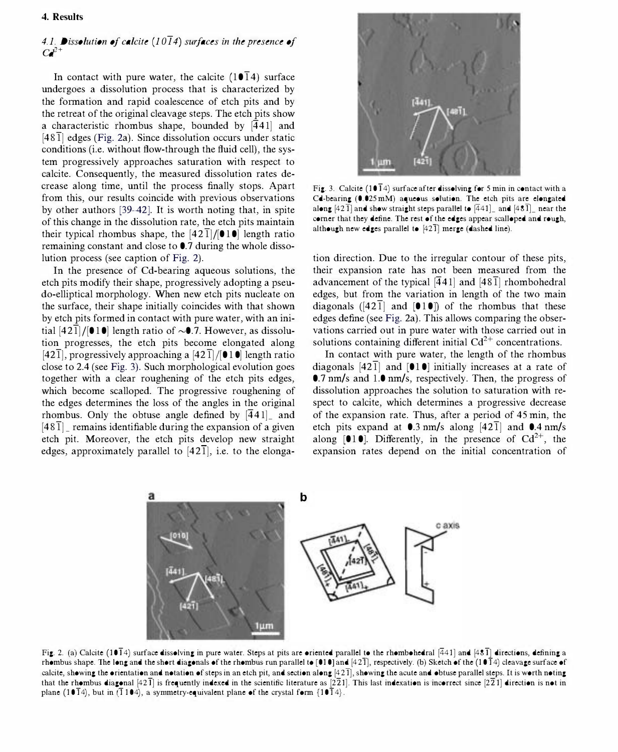#### 4. Results

# 4.1. Dissolution of calcite (10 $\overline{14}$ ) surfaces in the presence of  $C^{2^+}$

In contact with pure water, the calcite  $(1\bullet\overline{1}4)$  surface undergoes a dissolution process that is characterized by the fonnation and rapid coalescence of etch pits and by the retreat of the original cleavage steps. The etch pits show a characteristic rhombus shape, bounded by  $\overline{44}$ l and  $[48\overline{1}]$  edges (Fig. 2a). Since dissolution occurs under static conditions (i.e. without flow-through the fluid cell), the system progressively approaches saturation with respect to calcite. Consequently, the measured dissolution rates decrease along time, until the process finally stops. Apart from this, our results coincide with previous observations by other authors [39-42]. It is worth noting that, in spite of this change in the dissolution rate, the etch pits maintain their typical rhombus shape, the  $[42\overline{1}]/[010]$  length ratio remaining constant and close to 0.7 during the whole dissolution process (see caption of Fig. 2).

In the presence of Cd-bearing aqueous solutions, the etch pits modify their shape, progressively adopting a pseudo-elliptical morphology. When new etch pits nucleate on the surface, their shape initially coincides with that shown by etch pits formed in contact with pure water, with an initial  $[42\overline{1}]/[010]$  length ratio of  $\sim 0.7$ . However, as dissolution progresses, the etch pits become elongated along  $[42\overline{1}]$ , progressively approaching a  $[42\overline{1}]/[0\overline{1\overline{0}}]$  length ratio close to 2.4 (see Fig. 3). Such morphological evolution goes together with a clear roughening of the etch pits edges, which become scalloped. The progressive roughening of the edges determines the loss of the angles in the original rhombus. Only the obtuse angle defined by  $\overline{441}$  and  $[48\bar{1}]$  remains identifiable during the expansion of a given etch pit. Moreover, the etch pits develop new straight edges, approximately parallel to [421], i.e. to the elonga-



Fig. 3. Calcite (10 $\overline{1}$ 4) surface after dissolving for 5 min in contact with a Cd-bearing (0.025 mM) aqueous solution. The etch pits are elongated along  $[42\overline{1}]$  and show straight steps parallel to  $\overline{[441]}$  and  $[48\overline{1}]$  near the corner that they define. The rest of the edges appear scalloped and rough, although new edges parallel to  $[42\bar{1}]$  merge (dashed line).

tion direction. Due to the irregular contour of these pits, their expansion rate has not been measured from the advancement of the typical  $\overline{441}$  and  $\overline{481}$  rhombohedral edges, but from the variation in length of the two main diagonals ( $[42\overline{1}]$  and  $[010]$ ) of the rhombus that these edges define (see Fig. 2a). This allows comparing the observations carried out in pure water with those carried out in solutions containing different initial  $Cd^{2+}$  concentrations.

In contact with pure water, the length of the rhombus diagonals [421] and [010] initially increases at a rate of 0.7 nm/s and 1.0 nm/s, respectively. Then, the progress of dissolution approaches the solution to saturation with respect to calcite, which detennines a progressive decrease of the expansion rate. Thus, after a period of 45 min, the etch pits expand at 0.3 nm/s along  $[42\overline{1}]$  and 0.4 nm/s along  $[010]$ . Differently, in the presence of  $Cd^{2+}$ , the expansion rates depend on the initial concentration of



Fig. 2. (a) Calcite (1014) surface dissolving in pure water. Steps at pits are oriented parallel to the rhombohedral  $\overline{[441]}$  and  $\overline{[481]}$  directions, defining a rhombus shape. The long and the short diagonals of the rhombus run parallel to  $[010]$  and  $[427]$ , respectively. (b) Sketch of the  $(10\bar{1}4)$  cleavage surface of calcite, showing the orientation and notation of steps in an etch pit, and section along [421], showing the acute and obtuse parallel steps. It is worth noting that the rhombus diagonal  $[42\bar{1}]$  is frequently indexed in the scientific literature as  $[2\bar{2}1]$ . This last indexation is incorrect since  $[2\bar{2}1]$  direction is not in plane (1014), but in (1104), a symmetry-equivalent plane of the crystal form  $\{10\bar{1}4\}$ .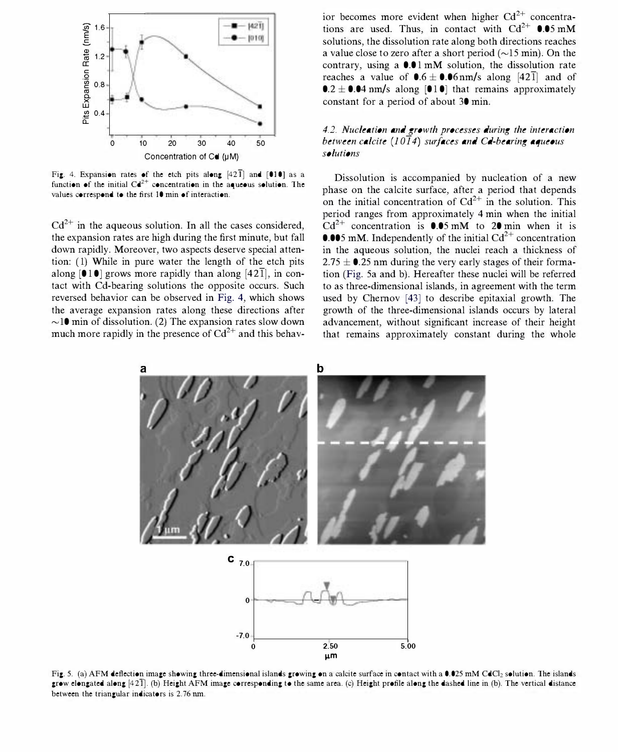

Fig. 4. Expansion rates of the etch pits along  $[42\overline{1}]$  and  $[010]$  as a function of the initial  $Cd^{2+}$  concentration in the aqueous solution. The values correspond to the first 10 min of interaction.

 $Cd^{2+}$  in the aqueous solution. In all the cases considered, the expansion rates are high during the first minute, but fall down rapidly. Moreover, two aspects deserve special attention: (1) While in pure water the length of the etch pits along [010] grows more rapidly than along [421], in contact with Cd-bearing solutions the opposite occurs. Such reversed behavior can be observed in Fig. 4, which shows the average expansion rates along these directions after  $\sim$ 10 min of dissolution. (2) The expansion rates slow down much more rapidly in the presence of  $Cd^{2+}$  and this behavior becomes more evident when higher  $Cd^{2+}$  concentrations are used. Thus, in contact with  $Cd^{2+}$  0.05 mM solutions, the dissolution rate along both directions reaches a value close to zero after a short period  $(\sim] 5$  min). On the contrary, using a 0.01 mM solution, the dissolution rate reaches a value of  $0.6 \pm 0.06$  nm/s along [421] and of 0.2  $\pm$  0.04 nm/s along [010] that remains approximately constant for a period of about 30 min.

# 4.2. Nucleation and growth processes during the interaction between calcite (10 $\overline{14}$ ) surfaces and Cd-bearing aqueous solutions

Dissolution is accompanied by nucleation of a new phase on the calcite surface, after a period that depends on the initial concentration of  $Cd^{2+}$  in the solution. This period ranges from approximately 4 min when the initial  $Cd^{2+}$  concentration is 0.05 mM to 20 min when it is **0.00**5 mM. Independently of the initial  $Cd^{2+}$  concentration in the aqueous solution, the nuclei reach a thickness of  $2.75 \pm 0.25$  nm during the very early stages of their formation (Fig. 5a and b). Hereafter these nuclei will be referred to as three-dimensional islands, in agreement with the term used by Chernov [43] to describe epitaxial growth. The growth of the three-dimensional islands occurs by lateral advancement, without significant increase of their height that remains approximately constant during the whole



Fig. 5. (a) AFM deflection image showing three-dimensional islands growing on a calcite surface in contact with a 0.025 mM CdCl<sub>2</sub> solution. The islands grow elongated along [421]. (b) Height AFM image corresponding to the same area. (c) Height profile along the dashed line in (b). The vertical distance between the triangular indicators is 2.76 nm.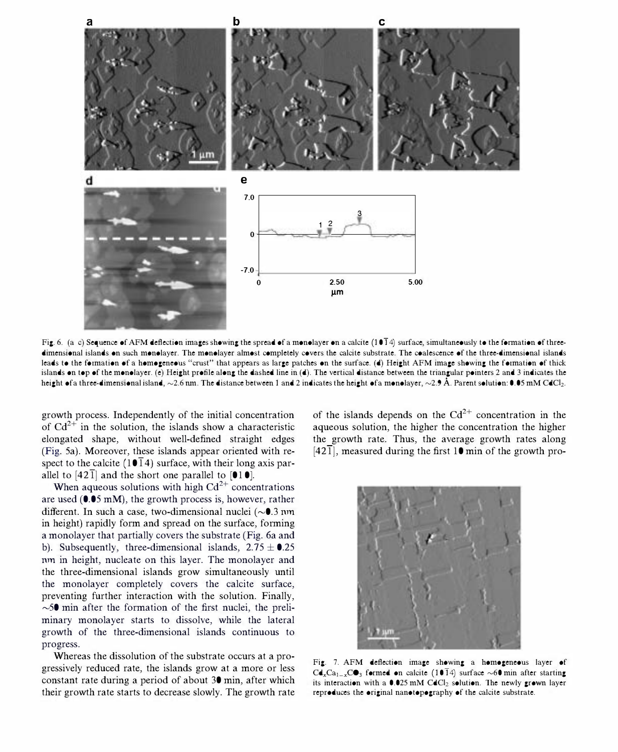

Fig. 6. (a c) Sequence of AFM deflection images showing the spread of a monolayer on a calcite (10T4) surface, simultaneously to the formation of threedimensional islands on such monolayer. The monolayer almost completely covers the calcite substrate. The coalescence of the three-dimensional islands leads to the formation of a homogeneous "crust" that appears as large patches on the surface. (d) Height AFM image showing the formation of thick islands on top of the monolayer. (e) Height profile along the dashed line in (d). The vertical distance between the triangular pointers 2 and 3 indicates the height of a three-dimensional island,  $\sim$ 2.6 nm. The distance between 1 and 2 indicates the height of a monolayer,  $\sim$ 2.9 A. Parent solution: 0.05 mM CdCl<sub>2</sub>.

growth process. Independently of the initial concentration of  $Cd^{2+}$  in the solution, the islands show a characteristic elongated shape, without well-defined straight edges (Fig. 5a). Moreover, these islands appear oriented with respect to the calcite (10 $\overline{1}$ 4) surface, with their long axis parallel to  $[42\overline{1}]$  and the short one parallel to  $[01\overline{0}]$ .

When aqueous solutions with high  $Cd^{2+}$  concentrations are used (0.05 mM), the growth process is, however, rather different. In such a case, two-dimensional nuclei  $(\sim 3$  run in height) rapidly form and spread on the surface, fonning a monolayer that partially covers the substrate (Fig. 6a and b). Subsequently, three-dimensional islands,  $2.75 \pm 0.25$ run in height, nucleate on this layer. The monolayer and the three-dimensional islands grow simultaneously until the monolayer completely covers the calcite surface, preventing further interaction with the solution. Finally,  $\sim$ 50 min after the formation of the first nuclei, the preliminary monolayer starts to dissolve, while the lateral growth of the three-dimensional islands continuous to progress.

Whereas the dissolution of the substrate occurs at a progressively reduced rate, the islands grow at a more or less constant rate during a period of about 30 min, after which their growth rate starts to decrease slowly. The growth rate of the islands depends on the  $Cd^{2+}$  concentration in the aqueous solution, the higher the concentration the higher the growth rate. Thus, the average growth rates along  $[421]$ , measured during the first 10 min of the growth pro-



Fig. 7. AFM deflection image showing a homogeneous layer of  $Cd_xCa_{1-x}CO_3$  formed on calcite (1014) surface ~60 min after starting its interaction with a 0.025 mM CdCl<sub>2</sub> solution. The newly grown layer reproduces the original nanotopography of the calcite substrate.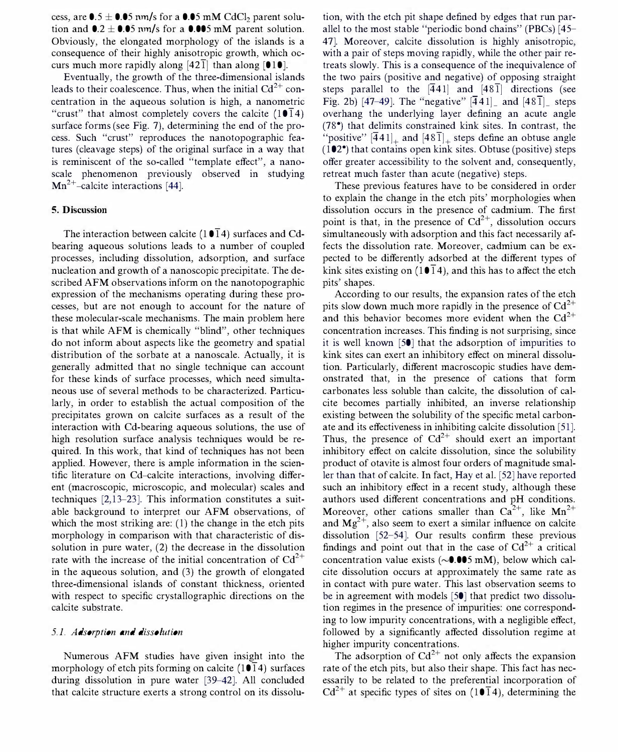cess, are  $0.5 \pm 0.05$  nm/s for a 0.05 mM CdCl<sub>2</sub> parent solution and  $0.2 \pm 0.05$  run/s for a 0.005 mM parent solution. Obviously, the elongated morphology of the islands is a consequence of their highly anisotropic growth, which occurs much more rapidly along  $[42\overline{1}]$  than along  $[010]$ .

Eventually, the growth of the three-dimensional islands leads to their coalescence. Thus, when the initial  $Cd^{2+}$  concentration in the aqueous solution is high, a nanometric "crust" that almost completely covers the calcite  $(1\bullet\overline{1}4)$ surface forms (see Fig. 7), determining the end of the process. Such "crust" reproduces the nanotopographic features (cleavage steps) of the original surface in a way that is reminiscent of the so-called "template effect", a nanoscale phenomenon previously observed in studying  $Mn^{2+}$ -calcite interactions [44].

## 5. Discussion

The interaction between calcite (1 $\overline{14}$ ) surfaces and Cdbearing aqueous solutions leads to a number of coupled processes, including dissolution, adsorption, and surface nucleation and growth of a nanoscopic precipitate. The described AFM observations inform on the nanotopographic expression of the mechanisms operating during these processes, but are not enough to account for the nature of these molecular-scale mechanisms. The main problem here is that while AFM is chemically "blind", other techniques do not inform about aspects like the geometry and spatial distribution of the sorbate at a nanoscale. Actually, it is generally admitted that no single technique can account for these kinds of surface processes, which need simultaneous use of several methods to be characterized. Particularly, in order to establish the actual composition of the precipitates grown on calcite surfaces as a result of the interaction with Cd-bearing aqueous solutions, the use of high resolution surface analysis techniques would be required. In this work, that kind of techniques has not been applied. However, there is ample information in the scientific literature on Cd-calcite interactions, involving different (macroscopic, microscopic, and molecular) scales and techniques [2,13-23J. This information constitutes a suitable background to interpret our AFM observations, of which the most striking are: (1) the change in the etch pits morphology in comparison with that characteristic of dissolution in pure water, (2) the decrease in the dissolution rate with the increase of the initial concentration of  $Cd^{2+}$ in the aqueous solution, and (3) the growth of elongated three-dimensional islands of constant thickness, oriented with respect to specific crystallographic directions on the calcite substrate.

## 5.1. Adsorption and dissolution

Numerous AFM studies have given insight into the morphology of etch pits forming on calcite (1014) surfaces during dissolution in pure water [39-42]. All concluded that calcite structure exerts a strong control on its dissolu-

tion, with the etch pit shape defined by edges that run parallel to the most stable "periodic bond chains" (PECs) [45- 47]. Moreover, calcite dissolution is highly anisotropic, with a pair of steps moving rapidly, while the other pair retreats slowly. This is a consequence of the inequivalence of the two pairs (positive and negative) of opposing straight steps parallel to the  $\overline{441}$  and  $\overline{481}$  directions (see Fig. 2b) [47-49]. The "negative"  $\overline{4}41$  and  $\overline{481}$  steps overhang the underlying layer defining an acute angle (78°) that delimits constrained kink sites. In contrast, the "positive"  $\overline{441}$  and  $\overline{481}$  steps define an obtuse angle (102°) that contains open kink sites. Obtuse (positive) steps offer greater accessibility to the solvent and, consequently, retreat much faster than acute (negative) steps.

These previous features have to be considered in order to explain the change in the etch pits' morphologies when dissolution occurs in the presence of cadmium. The first point is that, in the presence of  $Cd^{2+}$ , dissolution occurs simultaneously with adsorption and this fact necessarily affects the dissolution rate. Moreover, cadmium can be expected to be differently adsorbed at the different types of kink sites existing on (10 $\overline{1}4$ ), and this has to affect the etch pits' shapes.

According to our results, the expansion rates of the etch pits slow down much more rapidly in the presence of  $Cd^{2+}$ and this behavior becomes more evident when the  $Cd^{2+}$ concentration increases. This finding is not surprising, since it is well known [50] that the adsorption of impurities to kink sites can exert an inhibitory effect on mineral dissolution. Particularly, different macroscopic studies have demonstrated that, in the presence of cations that form carbonates less soluble than calcite, the dissolution of calcite becomes partially inhibited, an inverse relationship existing between the solubility of the specific metal carbonate and its effectiveness in inhibiting calcite dissolution [51J. Thus, the presence of  $Cd^{2+}$  should exert an important inhibitory effect on calcite dissolution, since the solubility product of otavite is almost four orders of magnitude smaller than that of calcite. In fact, Hay et al. [52] have reported such an inhibitory effect in a recent study, although these authors used different concentrations and pH conditions. Moreover, other cations smaller than  $Ca^{2+}$ , like  $Mn^{2+}$ and  $Mg^{2+}$ , also seem to exert a similar influence on calcite dissolution [52-54]. Our results confirm these previous findings and point out that in the case of  $Cd^{2+}$  a critical concentration value exists  $(\sim 0.005 \text{ mM})$ , below which calcite dissolution occurs at approximately the same rate as in contact with pure water. This last observation seems to be in agreement with models [50] that predict two dissolution regimes in the presence of impurities: one corresponding to low impurity concentrations, with a negligible effect, followed by a significantly affected dissolution regime at higher impurity concentrations.

The adsorption of  $Cd^{2+}$  not only affects the expansion rate of the etch pits, but also their shape. This fact has necessarily to be related to the preferential incorporation of  $Cd^{2+}$  at specific types of sites on (1014), determining the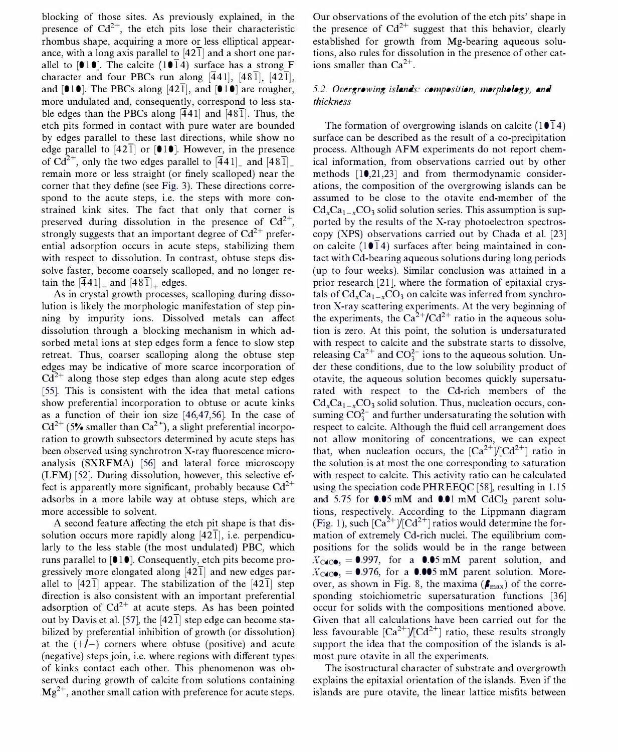blocking of those sites. As previously explained, in the presence of  $Cd^{2+}$ , the etch pits lose their characteristic rhombus shape, acquiring a more or less elliptical appearance, with a long axis parallel to  $[42\overline{1}]$  and a short one parallel to [010]. The calcite (10 $\overline{1}4$ ) surface has a strong F character and four PBCs run along  $\overline{[441]}$ ,  $\overline{[481]}$ ,  $\overline{[421]}$ , and  $[010]$ . The PBCs along  $[42\overline{1}]$ , and  $[010]$  are rougher, more undulated and, consequently, correspond to less stable edges than the PBCs along  $\overline{441}$  and  $\overline{481}$ . Thus, the etch pits formed in contact with pure water are bounded by edges parallel to these last directions, while show no edge parallel to [42 $\overline{1}$ ] or [010]. However, in the presence of Cd<sup>2+</sup>, only the two edges parallel to  $\overline{[441]}$  and  $\overline{[481]}$ remain more or less straight (or finely scalloped) near the corner that they define (see Fig. 3). These directions correspond to the acute steps, i.e. the steps with more constrained kink sites. The fact that only that corner is preserved during dissolution in the presence of  $Cd^{2+}$ , strongly suggests that an important degree of  $Cd^{2+}$  preferential adsorption occurs in acute steps, stabilizing them with respect to dissolution. In contrast, obtuse steps dissolve faster, become coarsely scalloped, and no longer retain the  $\overline{[441]}_+$  and  $\overline{[481]}_+$  edges.

As in crystal growth processes, scalloping during dissolution is likely the morphologic manifestation of step pinning by impurity ions. Dissolved metals can affect dissolution through a blocking mechanism in which adsorbed metal ions at step edges form a fence to slow step retreat. Thus, coarser scalloping along the obtuse step edges may be indicative of more scarce incorporation of  $Cd^{2+}$  along those step edges than along acute step edges [55]. This is consistent with the idea that metal cations show preferential incorporation to obtuse or acute kinks as a function of their ion size [46,47,56]. In the case of  $Cd^{2+}$  (5% smaller than  $Ca^{2+}$ ), a slight preferential incorporation to growth subsectors determined by acute steps has been observed using synchrotron X-ray fluorescence microanalysis (SXRFMA) [56] and lateral force microscopy (LFM) [52]. During dissolution, however, this selective effect is apparently more significant, probably because  $Cd^{2+}$ adsorbs in a more labile way at obtuse steps, which are more accessible to solvent.

A second feature affecting the etch pit shape is that dissolution occurs more rapidly along  $[42\overline{1}]$ , i.e. perpendicularly to the less stable (the most undulated) PBC, which runs parallel to [010]. Consequently, etch pits become progressively more elongated along  $[42\overline{1}]$  and new edges parallel to [421] appear. The stabilization of the [421] step direction is also consistent with an important preferential adsorption of  $Cd^{2+}$  at acute steps. As has been pointed out by Davis et al. [57], the [421] step edge can become stabilized by preferential inhibition of growth (or dissolution) at the  $(+/-)$  corners where obtuse (positive) and acute (negative) steps join, i.e. where regions with different types of kinks contact each other. This phenomenon was observed during growth of calcite from solutions containing  $Mg^{2+}$ , another small cation with preference for acute steps.

Our observations of the evolution of the etch pits' shape in the presence of  $Cd^{2+}$  suggest that this behavior, clearly established for growth from Mg-bearing aqueous solutions, also rules for dissolution in the presence of other cations smaller than  $Ca^{2+}$ .

# 5.2. Overgrowing islands: composition, morphology, and thickness

The formation of overgrowing islands on calcite (10 $\overline{1}4$ ) surface can be described as the result of a co-precipitation process. Although AFM experiments do not report chemical information, from observations carried out by other methods [10,21,23] and from thermodynamic considerations, the composition of the overgrowing islands can be assumed to be close to the otavite end-member of the  $Cd<sub>x</sub>Ca<sub>1-x</sub>CO<sub>3</sub>$  solid solution series. This assumption is supported by the results of the X-ray photoelectron spectroscopy (XPS) observations carried out by Chada et al. [23] on calcite (10 $\overline{1}4$ ) surfaces after being maintained in contact with Cd-bearing aqueous solutions during long periods (up to four weeks). Similar conclusion was attained in a prior research [21J, where the formation of epitaxial crystals of  $Cd<sub>x</sub>Ca<sub>1-x</sub>CO<sub>3</sub>$  on calcite was inferred from synchrotron X-ray scattering experiments. At the very beginning of the experiments, the  $Ca^{2+}/Cd^{2+}$  ratio in the aqueous solution is zero. At this point, the solution is undersaturated with respect to calcite and the substrate starts to dissolve, releasing  $Ca^{2+}$  and  $CO_3^{2-}$  ions to the aqueous solution. Under these conditions, due to the low solubility product of otavite, the aqueous solution becomes quickly supersaturated with respect to the Cd-rich members of the  $Cd_xCa_{1-x}CO_3$  solid solution. Thus, nucleation occurs, con- $\frac{\text{SUS}_X\text{SUS}_1 - \text{SUS}_X\text{SUS}_A}{\text{suming CO}_3^2}$  and further undersaturating the solution with respect to calcite. Although the fluid cell arrangement does not allow monitoring of concentrations, we can expect that, when nucleation occurs, the  $\left[\text{Ca}^{2+}\right]/\left[\text{Cd}^{2+}\right]$  ratio in the solution is at most the one corresponding to saturation with respect to calcite. This activity ratio can be calculated using the speciation code PHREEQC  $[58]$ , resulting in 1.15 and 5.75 for  $0.05$  mM and  $0.01$  mM CdCl<sub>2</sub> parent solutions, respectively. According to the Lippmann diagram (Fig. 1), such  $\lceil Ca^{2+} \rceil / \lceil Cd^{2+} \rceil$  ratios would determine the formation of extremely Cd-rich nuclei. The equilibrium compositions for the solids would be in the range between  $X_{\text{C}\text{A}\text{C}\bullet}$ , = 0.997, for a 0.05 mM parent solution, and  $X_{\text{C}\text{d}\text{C}\bullet}$ , = 0.976, for a 0.005 mM parent solution. Moreover, as shown in Fig. 8, the maxima ( $\beta_{\text{max}}$ ) of the corresponding stoichiometric supersaturation functions [36] occur for solids with the compositions mentioned above. Given that all calculations have been carried out for the less favourable  $[Ca^{2+}]/[Cd^{2+}]$  ratio, these results strongly support the idea that the composition of the islands is almost pure otavite in all the experiments.

The isostructural character of substrate and overgrowth explains the epitaxial orientation of the islands. Even if the islands are pure otavite, the linear lattice misfits between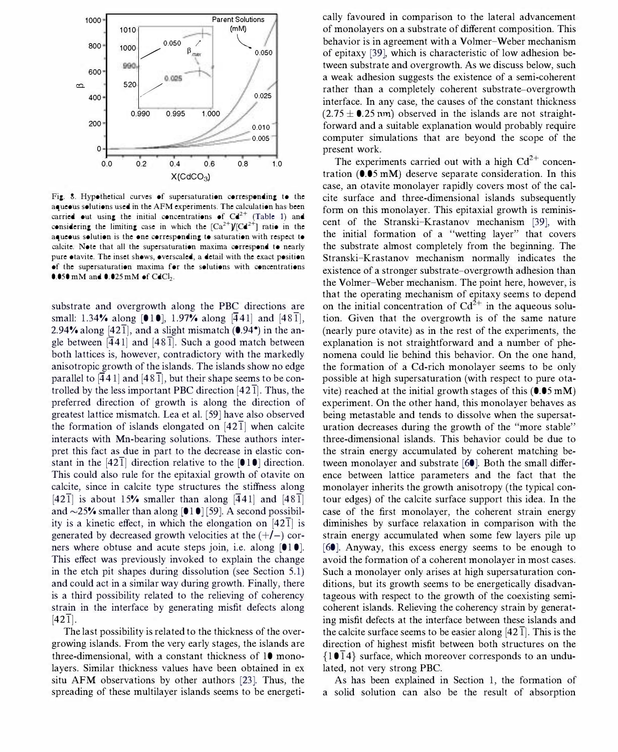

Fig. 8. Hypothetical curves of supersaturation corresponding to the aqueous solutions used in the AFM experiments. The calculation has been carried out using the initial concentrations of  $Cd^{2+}$  (Table 1) and considering the limiting case in which the  $[Ca^{2+}]/[Cd^{2+}]$  ratio in the aqueous solution is the one corresponding to saturation with respect to calcite. Note that all the supersaturation maxima correspond to nearly pure otavite. The inset shows, overscaled, a detail with the exact position of the supersaturation maxima for the solutions with concentrations  $0.050$  mM and  $0.025$  mM of CdCl<sub>2</sub>.

substrate and overgrowth along the PBC directions are small: 1.34% along  $[010]$ , 1.97% along  $[441]$  and  $[481]$ , 2.94% along  $[42\bar{1}]$ , and a slight mismatch (0.94°) in the angle between  $\overline{441}$  and  $\overline{481}$ . Such a good match between both lattices is, however, contradictory with the markedly anisotropic growth of the islands. The islands show no edge parallel to  $\overline{441}$  and  $\overline{481}$ , but their shape seems to be controlled by the less important PBC direction  $[42\bar{1}]$ . Thus, the preferred direction of growth is along the direction of greatest lattice mismatch. Lea et al. [59] have also observed the formation of islands elongated on  $[42\overline{1}]$  when calcite interacts with Mn-bearing solutions. These authors interpret this fact as due in part to the decrease in elastic constant in the  $[42\overline{1}]$  direction relative to the  $[010]$  direction. This could also rule for the epitaxial growth of otavite on calcite, since in calcite type structures the stiffness along [421] is about 15% smaller than along [441] and [481] and  $\sim$ 25% smaller than along [010] [59]. A second possibility is a kinetic effect, in which the elongation on  $[42\overline{1}]$  is generated by decreased growth velocities at the  $(+/-)$  corners where obtuse and acute steps join, i.e. along [010]. This effect was previously invoked to explain the change in the etch pit shapes during dissolution (see Section 5.1) and could act in a similar way during growth. Finally, there is a third possibility related to the relieving of coherency strain in the interface by generating misfit defects along [421].

The last possibility is related to the thickness of the overgrowing islands. From the very early stages, the islands are three-dimensional, with a constant thickness of 10 monolayers. Similar thickness values have been obtained in ex situ AFM observations by other authors [23]. Thus, the spreading of these multilayer islands seems to be energeti-

cally favoured in comparison to the lateral advancement of monolayers on a substrate of different composition. This behavior is in agreement with a Volmer-Weber mechanism of epitaxy [39J, which is characteristic of low adhesion between substrate and overgrowth. As we discuss below, such a weak adhesion suggests the existence of a semi-coherent rather than a completely coherent substrate-overgrowth interface. In any case, the causes of the constant thickness  $(2.75 \pm 0.25 \text{ nm})$  observed in the islands are not straightforward and a suitable explanation would probably require computer simulations that are beyond the scope of the present work.

The experiments carried out with a high  $Cd^{2+}$  concentration (0.05 mM) deserve separate consideration. In this case, an otavite monolayer rapidly covers most of the calcite surface and three-dimensional islands subsequently form on this monolayer. This epitaxial growth is reminiscent of the Stranski-Krastanov mechanism [39], with the initial fonnation of a "wetting layer" that covers the substrate almost completely from the beginning. The Stranski-Krastanov mechanism nonnally indicates the existence of a stronger substrate-overgrowth adhesion than the Volmer-Weber mechanism. The point here, however, is that the operating mechanism of epitaxy seems to depend on the initial concentration of  $Cd^{2+}$  in the aqueous solution. Given that the overgrowth is of the same nature (nearly pure otavite) as in the rest of the experiments, the explanation is not straightforward and a number of phenomena could lie behind this behavior. On the one hand, the formation of a Cd-rich monolayer seems to be only possible at high supersaturation (with respect to pure otavite) reached at the initial growth stages of this  $(0.05 \text{ mM})$ experiment. On the other hand, this monolayer behaves as being metastable and tends to dissolve when the supersaturation decreases during the growth of the "more stable" three-dimensional islands. This behavior could be due to the strain energy accumulated by coherent matching between monolayer and substrate [60]. Both the small difference between lattice parameters and the fact that the monolayer inherits the growth anisotropy (the typical contour edges) of the calcite surface support this idea. In the case of the first monolayer, the coherent strain energy diminishes by surface relaxation in comparison with the strain energy accumulated when some few layers pile up [60J. Anyway, this excess energy seems to be enough to avoid the fonnation of a coherent monolayer in most cases. Such a monolayer only arises at high supersaturation conditions, but its growth seems to be energetically disadvantageous with respect to the growth of the coexisting semicoherent islands. Relieving the coherency strain by generating misfit defects at the interface between these islands and the calcite surface seems to be easier along  $[42\bar{1}]$ . This is the direction of highest misfit between both structures on the  ${1014}$  surface, which moreover corresponds to an undulated, not very strong PBC.

As has been explained in Section 1, the formation of a solid solution can also be the result of absorption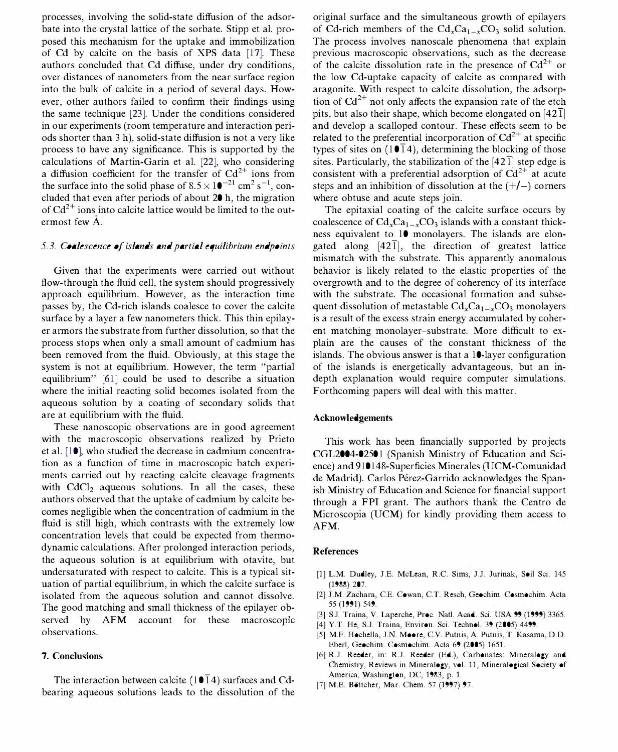processes, involving the solid-state diffusion of the adsorbate into the crystal lattice of the sorbate. Stipp et al. proposed this mechanism for the uptake and immobilization of Cd by calcite on the basis of XPS data [17]. These authors concluded that Cd diffuse, under dry conditions, over distances of nanometers from the near surface region into the bulk of calcite in a period of several days. However, other authors failed to confirm their findings using the same technique [23]. Under the conditions considered in our experiments (room temperature and interaction periods shorter than 3 h), solid-state diffusion is not a very like process to have any significance. This is supported by the calculations of Martin-Garin et al. [22], who considering a diffusion coefficient for the transfer of  $Cd^{2+}$  ions from the surface into the solid phase of  $8.5 \times 10^{-21}$  cm<sup>2</sup> s<sup>-1</sup>, concluded that even after periods of about 20 h, the migration of  $Cd^{2+}$  ions into calcite lattice would be limited to the outermost few A.

#### 5.3. Coalescence of islands and partial equilibrium endpoints

Given that the experiments were carried out without flow-through the fluid cell, the system should progressively approach equilibrium. However, as the interaction time passes by, the Cd-rich islands coalesce to cover the calcite surface by a layer a few nanometers thick. This thin epilayer annors the substrate from further dissolution, so that the process stops when only a small amount of cadmium has been removed from the fluid. Obviously, at this stage the system is not at equilibrium. However, the term "partial equilibrium"  $[61]$  could be used to describe a situation where the initial reacting solid becomes isolated from the aqueous solution by a coating of secondary solids that are at equilibrium with the fluid.

These nanoscopic observations are in good agreement with the macroscopic observations realized by Prieto et al. [10], who studied the decrease in cadmium concentration as a function of time in macroscopic batch experiments carried out by reacting calcite cleavage fragments with  $CdCl<sub>2</sub>$  aqueous solutions. In all the cases, these authors observed that the uptake of cadmium by calcite becomes negligible when the concentration of cadmium in the fluid is still high, which contrasts with the extremely low concentration levels that could be expected from thennodynamic calculations. After prolonged interaction periods, the aqueous solution is at equilibrium with otavite, but undersaturated with respect to calcite. This is a typical situation of partial equilibrium, in which the calcite surface is isolated from the aqueous solution and cannot dissolve. The good matching and small thickness of the epilayer observed by AFM account for these macroscopic observations.

# 7. Conclusions

The interaction between calcite (10 $\overline{1}$ 4) surfaces and Cdbearing aqueous solutions leads to the dissolution of the original surface and the simultaneous growth of epilayers of Cd-rich members of the  $Cd<sub>x</sub>Ca<sub>1-x</sub>CO<sub>3</sub>$  solid solution. The process involves nanoscale phenomena that explain previous macroscopic observations, such as the decrease of the calcite dissolution rate in the presence of  $Cd^{2+}$  or the low Cd-uptake capacity of calcite as compared with aragonite. With respect to calcite dissolution, the adsorption of  $Cd^{2+}$  not only affects the expansion rate of the etch pits, but also their shape, which become elongated on  $[42\overline{1}]$ and develop a scalloped contour. These effects seem to be related to the preferential incorporation of  $Cd^{2+}$  at specific types of sites on  $(1\bullet\overline{1}4)$ , determining the blocking of those sites. Particularly, the stabilization of the  $[42\overline{1}]$  step edge is consistent with a preferential adsorption of  $Cd^{2+}$  at acute steps and an inhibition of dissolution at the  $(+/-)$  corners where obtuse and acute steps join.

The epitaxial coating of the calcite surface occurs by coalescence of  $Cd<sub>x</sub>Ca<sub>1-x</sub>CO<sub>3</sub>$  islands with a constant thickness equivalent to 10 monolayers. The islands are elongated along  $[42\overline{1}]$ , the direction of greatest lattice mismatch with the substrate. This apparently anomalous behavior is likely related to the elastic properties of the overgrowth and to the degree of coherency of its interface with the substrate. The occasional formation and subsequent dissolution of metastable  $Cd<sub>x</sub>Ca<sub>1-x</sub>CO<sub>3</sub>$  monolayers is a result of the excess strain energy accumulated by coherent matching monolayer-substrate. More difficult to explain are the causes of the constant thickness of the islands. The obvious answer is that a ID-layer configuration of the islands is energetically advantageous, but an indepth explanation would require computer simulations. Forthcoming papers will deal with this matter.

#### Acknowledgements

This work has been financially supported by projects CGL2004-02501 (Spanish Ministry of Education and Science) and 910148-Superficies Minerales (UCM-Comunidad de Madrid). Carlos Pérez-Garrido acknowledges the Spanish Ministry of Education and Science for financial support through a FPI grant. The authors thank the Centro de Microscopia (UCM) for kindly providing them access to AFM.

#### References

- [1] L.M. Dudley, J.E. McLean, R.C. Sims, J.J. Jurinak, Soil Sci. 145 (1988) 207.
- [2] 1.M. Zachara, C.E. Cowan, C.T. Resch, Geochim. Cosmochim. Acta 55 (1991) 549.
- [3] S.J. Traina, V. Laperche, Proc. Natl. Acad. Sci. USA 99 (1999) 3365.
- [4] Y.T. He, S.J. Traina, Environ. Sci. Technol. 39 (2005) 4499.
- [5] M.F. Hochella, 1.N. Moore, C.Y. Putnis, A. Putnis, T. Kasama, D.D. Eberl, Geochim. Cosmochim. Acta 69 (2005) 1651.
- [6] R.l. Reeder, in: R.l. Reeder (Ed.), Carbonates: Mineralogy and Chemistry, Reviews in Mineralogy, vol. 11, Mineralogical Society of America, Washington, DC, 1983, p. 1.
- [7] M.E. Böttcher, Mar. Chem. 57 (1997) 97.